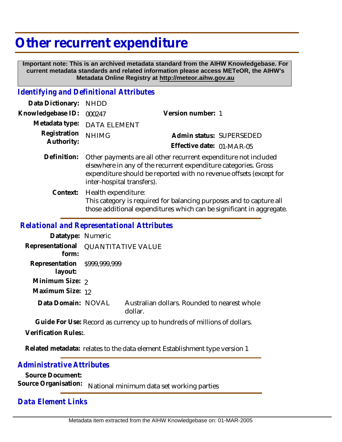# **Other recurrent expenditure**

 **Important note: This is an archived metadata standard from the AIHW Knowledgebase. For current metadata standards and related information please access METeOR, the AIHW's Metadata Online Registry at http://meteor.aihw.gov.au**

## *Identifying and Definitional Attributes*

| Data Dictionary: NHDD      |                                                                                                                                                                                                                                        |                           |                          |
|----------------------------|----------------------------------------------------------------------------------------------------------------------------------------------------------------------------------------------------------------------------------------|---------------------------|--------------------------|
| Knowledgebase ID:          | 000247                                                                                                                                                                                                                                 | Version number: 1         |                          |
|                            | Metadata type: DATA ELEMENT                                                                                                                                                                                                            |                           |                          |
| Registration<br>Authority: | <b>NHIMG</b>                                                                                                                                                                                                                           |                           | Admin status: SUPERSEDED |
|                            |                                                                                                                                                                                                                                        | Effective date: 01-MAR-05 |                          |
| Definition:                | Other payments are all other recurrent expenditure not included<br>elsewhere in any of the recurrent expenditure categories. Gross<br>expenditure should be reported with no revenue offsets (except for<br>inter-hospital transfers). |                           |                          |

Context: Health expenditure: This category is required for balancing purposes and to capture all those additional expenditures which can be significant in aggregate.

#### *Relational and Representational Attributes*

| Datatype: Numeric                       |                                     |                                                         |  |
|-----------------------------------------|-------------------------------------|---------------------------------------------------------|--|
| form:                                   | Representational QUANTITATIVE VALUE |                                                         |  |
| Representation \$999,999,999<br>layout: |                                     |                                                         |  |
| Minimum Size: 2                         |                                     |                                                         |  |
| Maximum Size: 12                        |                                     |                                                         |  |
| Data Domain: NOVAL                      |                                     | Australian dollars. Rounded to nearest whole<br>dollar. |  |

**Guide For Use:** Record as currency up to hundreds of millions of dollars.

**Verification Rules:**.

Related metadata: relates to the data element Establishment type version 1

#### *Administrative Attributes*

**Source Document:**

Source Organisation: National minimum data set working parties

### *Data Element Links*